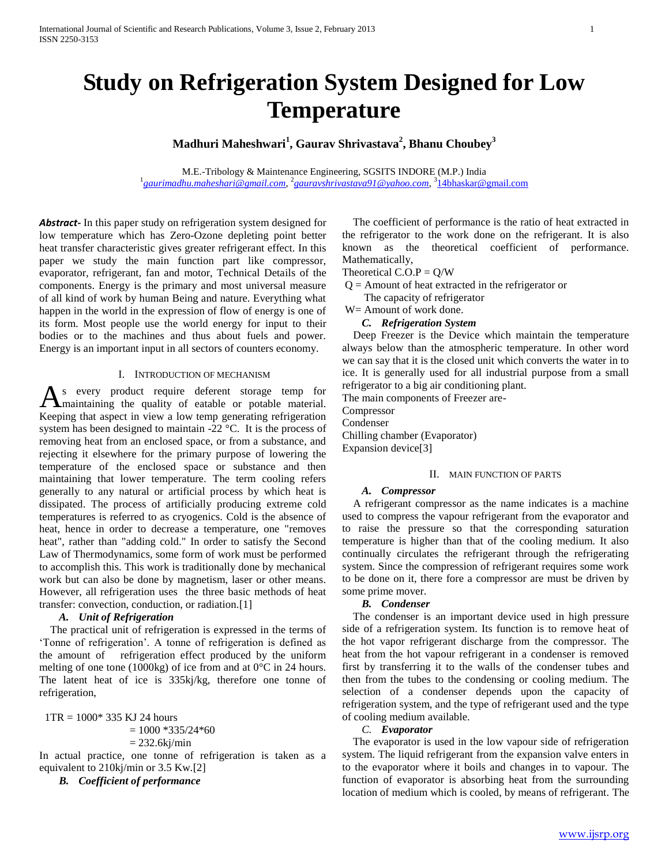# **Study on Refrigeration System Designed for Low Temperature**

## **Madhuri Maheshwari<sup>1</sup> , Gaurav Shrivastava<sup>2</sup> , Bhanu Choubey<sup>3</sup>**

M.E.-Tribology & Maintenance Engineering, SGSITS INDORE (M.P.) India <sup>1</sup> [gaurimadhu.maheshari@gmail.com](mailto:vishal_aianag@yahoo.co.in), <sup>2</sup> [gauravshrivastava91@yahoo.com](mailto:erneeleshkhandare@gmail.com), <sup>3</sup>[14bhaskar@gmail.com](mailto:14bhaskar@gmail.com)

*Abstract***-** In this paper study on refrigeration system designed for low temperature which has Zero-Ozone depleting point better heat transfer characteristic gives greater refrigerant effect. In this paper we study the main function part like compressor, evaporator, refrigerant, fan and motor, Technical Details of the components. Energy is the primary and most universal measure of all kind of work by human Being and nature. Everything what happen in the world in the expression of flow of energy is one of its form. Most people use the world energy for input to their bodies or to the machines and thus about fuels and power. Energy is an important input in all sectors of counters economy.

#### I. INTRODUCTION OF MECHANISM

s every product require deferent storage temp for maintaining the quality of eatable or potable material. As every product require deferent storage temp for maintaining the quality of eatable or potable material.<br>Keeping that aspect in view a low temp generating refrigeration system has been designed to maintain -22 °C. It is the process of removing heat from an enclosed space, or from a substance, and rejecting it elsewhere for the primary purpose of lowering the temperature of the enclosed space or substance and then maintaining that lower temperature. The term cooling refers generally to any natural or artificial process by which heat is dissipated. The process of artificially producing extreme cold temperatures is referred to as cryogenics. Cold is the absence of heat, hence in order to decrease a temperature, one "removes heat", rather than "adding cold." In order to satisfy the Second Law of Thermodynamics, some form of work must be performed to accomplish this. This work is traditionally done by mechanical work but can also be done by magnetism, laser or other means. However, all refrigeration uses the three basic methods of heat transfer: convection, conduction, or radiation.[1]

#### *A. Unit of Refrigeration*

 The practical unit of refrigeration is expressed in the terms of 'Tonne of refrigeration'. A tonne of refrigeration is defined as the amount of refrigeration effect produced by the uniform melting of one tone (1000kg) of ice from and at 0°C in 24 hours. The latent heat of ice is 335kj/kg, therefore one tonne of refrigeration,

 $1TR = 1000* 335 KJ 24 hours$  $= 1000 * 335/24 * 60$  $= 232.6$ kj/min

In actual practice, one tonne of refrigeration is taken as a equivalent to 210kj/min or 3.5 Kw.[2]

*B. Coefficient of performance*

 The coefficient of performance is the ratio of heat extracted in the refrigerator to the work done on the refrigerant. It is also known as the theoretical coefficient of performance. Mathematically,

#### Theoretical  $C.O.P = Q/W$

 $Q =$  Amount of heat extracted in the refrigerator or

The capacity of refrigerator

W= Amount of work done.

#### *C. Refrigeration System*

 Deep Freezer is the Device which maintain the temperature always below than the atmospheric temperature. In other word we can say that it is the closed unit which converts the water in to ice. It is generally used for all industrial purpose from a small refrigerator to a big air conditioning plant.

The main components of Freezer are-

Compressor

Condenser Chilling chamber (Evaporator)

Expansion device[3]

#### II. MAIN FUNCTION OF PARTS

#### *A. Compressor*

 A refrigerant compressor as the name indicates is a machine used to compress the vapour refrigerant from the evaporator and to raise the pressure so that the corresponding saturation temperature is higher than that of the cooling medium. It also continually circulates the refrigerant through the refrigerating system. Since the compression of refrigerant requires some work to be done on it, there fore a compressor are must be driven by some prime mover.

#### *B. Condenser*

 The condenser is an important device used in high pressure side of a refrigeration system. Its function is to remove heat of the hot vapor refrigerant discharge from the compressor. The heat from the hot vapour refrigerant in a condenser is removed first by transferring it to the walls of the condenser tubes and then from the tubes to the condensing or cooling medium. The selection of a condenser depends upon the capacity of refrigeration system, and the type of refrigerant used and the type of cooling medium available.

#### *C. Evaporator*

 The evaporator is used in the low vapour side of refrigeration system. The liquid refrigerant from the expansion valve enters in to the evaporator where it boils and changes in to vapour. The function of evaporator is absorbing heat from the surrounding location of medium which is cooled, by means of refrigerant. The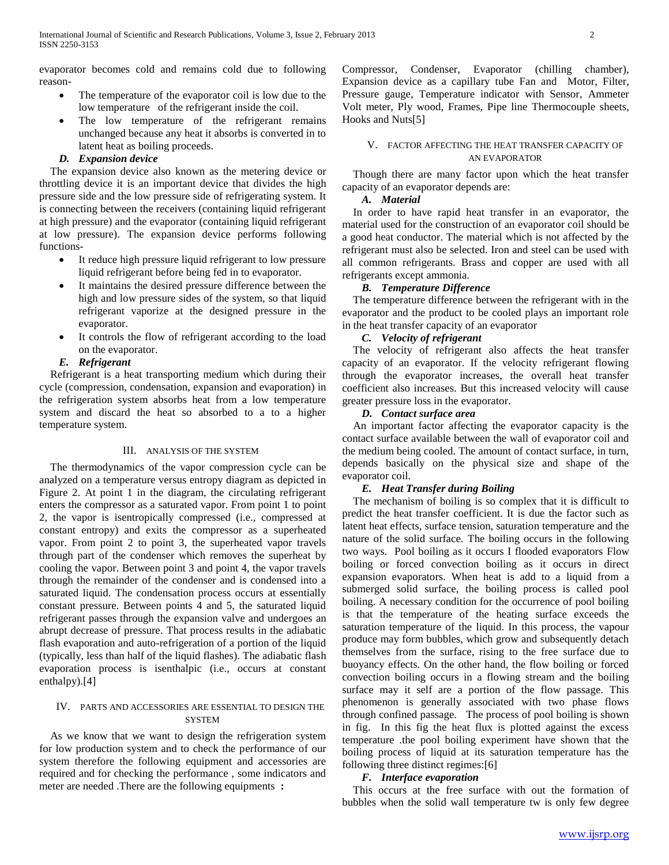evaporator becomes cold and remains cold due to following reason-

- The temperature of the evaporator coil is low due to the low temperature of the refrigerant inside the coil.
- The low temperature of the refrigerant remains unchanged because any heat it absorbs is converted in to latent heat as boiling proceeds.

#### *D. Expansion device*

 The expansion device also known as the metering device or throttling device it is an important device that divides the high pressure side and the low pressure side of refrigerating system. It is connecting between the receivers (containing liquid refrigerant at high pressure) and the evaporator (containing liquid refrigerant at low pressure). The expansion device performs following functions-

- It reduce high pressure liquid refrigerant to low pressure liquid refrigerant before being fed in to evaporator.
- It maintains the desired pressure difference between the high and low pressure sides of the system, so that liquid refrigerant vaporize at the designed pressure in the evaporator.
- It controls the flow of refrigerant according to the load on the evaporator.

## *E. Refrigerant*

 Refrigerant is a heat transporting medium which during their cycle (compression, condensation, expansion and evaporation) in the refrigeration system absorbs heat from a low temperature system and discard the heat so absorbed to a to a higher temperature system.

#### III. ANALYSIS OF THE SYSTEM

 The thermodynamics of the vapor compression cycle can be analyzed on a temperature versus entropy diagram as depicted in Figure 2. At point 1 in the diagram, the circulating refrigerant enters the compressor as a saturated vapor. From point 1 to point 2, the vapor is isentropically compressed (i.e., compressed at constant entropy) and exits the compressor as a superheated vapor. From point 2 to point 3, the superheated vapor travels through part of the condenser which removes the superheat by cooling the vapor. Between point 3 and point 4, the vapor travels through the remainder of the condenser and is condensed into a saturated liquid. The condensation process occurs at essentially constant pressure. Between points 4 and 5, the saturated liquid refrigerant passes through the expansion valve and undergoes an abrupt decrease of pressure. That process results in the adiabatic flash evaporation and auto-refrigeration of a portion of the liquid (typically, less than half of the liquid flashes). The adiabatic flash evaporation process is isenthalpic (i.e., occurs at constant enthalpy).[4]

## IV. PARTS AND ACCESSORIES ARE ESSENTIAL TO DESIGN THE **SYSTEM**

 As we know that we want to design the refrigeration system for low production system and to check the performance of our system therefore the following equipment and accessories are required and for checking the performance , some indicators and meter are needed .There are the following equipments **:**

Compressor, Condenser, Evaporator (chilling chamber), Expansion device as a capillary tube Fan and Motor, Filter, Pressure gauge, Temperature indicator with Sensor, Ammeter Volt meter, Ply wood, Frames, Pipe line Thermocouple sheets, Hooks and Nuts[5]

## V. FACTOR AFFECTING THE HEAT TRANSFER CAPACITY OF AN EVAPORATOR

 Though there are many factor upon which the heat transfer capacity of an evaporator depends are:

## *A. Material*

 In order to have rapid heat transfer in an evaporator, the material used for the construction of an evaporator coil should be a good heat conductor. The material which is not affected by the refrigerant must also be selected. Iron and steel can be used with all common refrigerants. Brass and copper are used with all refrigerants except ammonia.

## *B. Temperature Difference*

 The temperature difference between the refrigerant with in the evaporator and the product to be cooled plays an important role in the heat transfer capacity of an evaporator

## *C. Velocity of refrigerant*

 The velocity of refrigerant also affects the heat transfer capacity of an evaporator. If the velocity refrigerant flowing through the evaporator increases, the overall heat transfer coefficient also increases. But this increased velocity will cause greater pressure loss in the evaporator.

## *D. Contact surface area*

 An important factor affecting the evaporator capacity is the contact surface available between the wall of evaporator coil and the medium being cooled. The amount of contact surface, in turn, depends basically on the physical size and shape of the evaporator coil.

## *E. Heat Transfer during Boiling*

 The mechanism of boiling is so complex that it is difficult to predict the heat transfer coefficient. It is due the factor such as latent heat effects, surface tension, saturation temperature and the nature of the solid surface. The boiling occurs in the following two ways. Pool boiling as it occurs I flooded evaporators Flow boiling or forced convection boiling as it occurs in direct expansion evaporators. When heat is add to a liquid from a submerged solid surface, the boiling process is called pool boiling. A necessary condition for the occurrence of pool boiling is that the temperature of the heating surface exceeds the saturation temperature of the liquid. In this process, the vapour produce may form bubbles, which grow and subsequently detach themselves from the surface, rising to the free surface due to buoyancy effects. On the other hand, the flow boiling or forced convection boiling occurs in a flowing stream and the boiling surface may it self are a portion of the flow passage. This phenomenon is generally associated with two phase flows through confined passage. The process of pool boiling is shown in fig. In this fig the heat flux is plotted against the excess temperature .the pool boiling experiment have shown that the boiling process of liquid at its saturation temperature has the following three distinct regimes:[6]

## *F. Interface evaporation*

 This occurs at the free surface with out the formation of bubbles when the solid wall temperature tw is only few degree